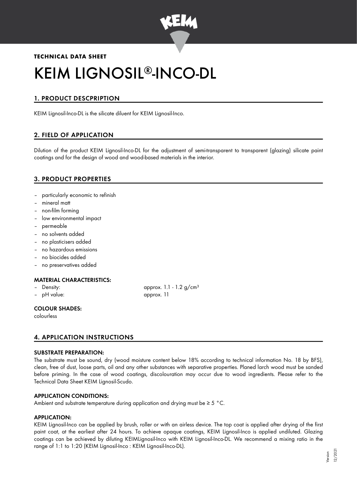

# **TECHNICAL DATA SHEET** KEIM LIGNOSIL®-INCO-DL

# 1. PRODUCT DESCPRIPTION

KEIM Lignosil-Inco-DL is the silicate diluent for KEIM Lignosil-Inco.

# 2. FIELD OF APPLICATION

Dilution of the product KEIM Lignosil-Inco-DL for the adjustment of semi-transparent to transparent (glazing) silicate paint coatings and for the design of wood and wood-based materials in the interior.

# 3. PRODUCT PROPERTIES

- particularly economic to refinish
- mineral matt
- non-film forming
- low environmental impact
- permeable
- no solvents added
- no plasticisers added
- no hazardous emissions
- no biocides added
- no preservatives added

# MATERIAL CHARACTERISTICS:

- 
- pH value: approx. 11

– Density: approx. 1.1 - 1.2 g/cm<sup>3</sup>

# COLOUR SHADES:

colourless

# 4. APPLICATION INSTRUCTIONS

# SUBSTRATE PREPARATION:

The substrate must be sound, dry (wood moisture content below 18% according to technical information No. 18 by BFS), clean, free of dust, loose parts, oil and any other substances with separative properties. Planed larch wood must be sanded before priming. In the case of wood coatings, discolouration may occur due to wood ingredients. Please refer to the Technical Data Sheet KEIM Lignosil-Scudo.

# APPLICATION CONDITIONS:

Ambient and substrate temperature during application and drying must be ≥ 5 °C.

# APPLICATION:

KEIM Lignosil-Inco can be applied by brush, roller or with an airless device. The top coat is applied after drying of the first paint coat, at the earliest after 24 hours. To achieve opaque coatings, KEIM Lignosil-Inco is applied undiluted. Glazing coatings can be achieved by diluting KEIMLignosil-Inco with KEIM Lignosil-Inco-DL. We recommend a mixing ratio in the range of 1:1 to 1:20 (KEIM Lignosil-Inco : KEIM Lignosil-Inco-DL).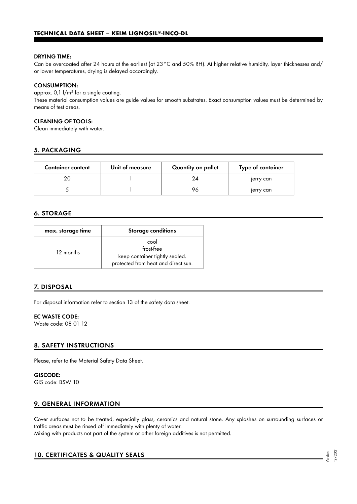#### DRYING TIME:

Can be overcoated after 24 hours at the earliest (at 23°C and 50% RH). At higher relative humidity, layer thicknesses and/ or lower temperatures, drying is delayed accordingly.

#### CONSUMPTION:

approx. 0,1 l/m² for a single coating. These material consumption values are guide values for smooth substrates. Exact consumption values must be determined by means of test areas.

### CLEANING OF TOOLS:

Clean immediately with water.

## 5. PACKAGING

| <b>Container content</b> | Unit of measure | Quantity on pallet | Type of container |
|--------------------------|-----------------|--------------------|-------------------|
| 20                       |                 | 24                 | jerry can         |
|                          |                 | 96                 | jerry can         |

## 6. STORAGE

| max. storage time | <b>Storage conditions</b>                                                                   |
|-------------------|---------------------------------------------------------------------------------------------|
| 12 months         | cool<br>frost-free<br>keep container tightly sealed.<br>protected from heat and direct sun. |

# 7. DISPOSAL

For disposal information refer to section 13 of the safety data sheet.

#### EC WASTE CODE:

Waste code: 08 01 12

#### 8. SAFETY INSTRUCTIONS

Please, refer to the Material Safety Data Sheet.

GISCODE: GIS code: BSW 10

### 9. GENERAL INFORMATION

Cover surfaces not to be treated, especially glass, ceramics and natural stone. Any splashes on surrounding surfaces or traffic areas must be rinsed off immediately with plenty of water. Mixing with products not part of the system or other foreign additives is not permitted.

# 10. CERTIFICATES & QUALITY SEALS